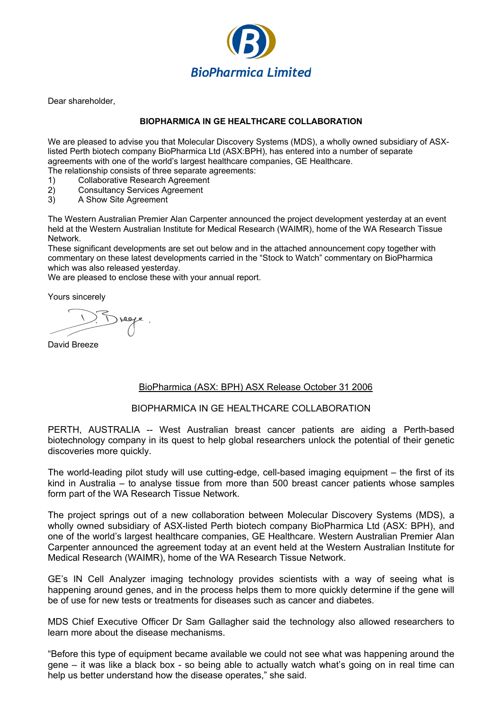

Dear shareholder,

## **BIOPHARMICA IN GE HEALTHCARE COLLABORATION**

We are pleased to advise you that Molecular Discovery Systems (MDS), a wholly owned subsidiary of ASXlisted Perth biotech company BioPharmica Ltd (ASX:BPH), has entered into a number of separate agreements with one of the world's largest healthcare companies, GE Healthcare. The relationship consists of three separate agreements:

- 1) Collaborative Research Agreement 2) Consultancy Services Agreement
- 3) A Show Site Agreement

The Western Australian Premier Alan Carpenter announced the project development yesterday at an event held at the Western Australian Institute for Medical Research (WAIMR), home of the WA Research Tissue Network.

These significant developments are set out below and in the attached announcement copy together with commentary on these latest developments carried in the "Stock to Watch" commentary on BioPharmica which was also released yesterday.

We are pleased to enclose these with your annual report.

Yours sincerely

David Breeze

## BioPharmica (ASX: BPH) ASX Release October 31 2006

## BIOPHARMICA IN GE HEALTHCARE COLLABORATION

PERTH, AUSTRALIA -- West Australian breast cancer patients are aiding a Perth-based biotechnology company in its quest to help global researchers unlock the potential of their genetic discoveries more quickly.

The world-leading pilot study will use cutting-edge, cell-based imaging equipment – the first of its kind in Australia – to analyse tissue from more than 500 breast cancer patients whose samples form part of the WA Research Tissue Network.

The project springs out of a new collaboration between Molecular Discovery Systems (MDS), a wholly owned subsidiary of ASX-listed Perth biotech company BioPharmica Ltd (ASX: BPH), and one of the world's largest healthcare companies, GE Healthcare. Western Australian Premier Alan Carpenter announced the agreement today at an event held at the Western Australian Institute for Medical Research (WAIMR), home of the WA Research Tissue Network.

GE's IN Cell Analyzer imaging technology provides scientists with a way of seeing what is happening around genes, and in the process helps them to more quickly determine if the gene will be of use for new tests or treatments for diseases such as cancer and diabetes.

MDS Chief Executive Officer Dr Sam Gallagher said the technology also allowed researchers to learn more about the disease mechanisms.

"Before this type of equipment became available we could not see what was happening around the gene – it was like a black box - so being able to actually watch what's going on in real time can help us better understand how the disease operates," she said.